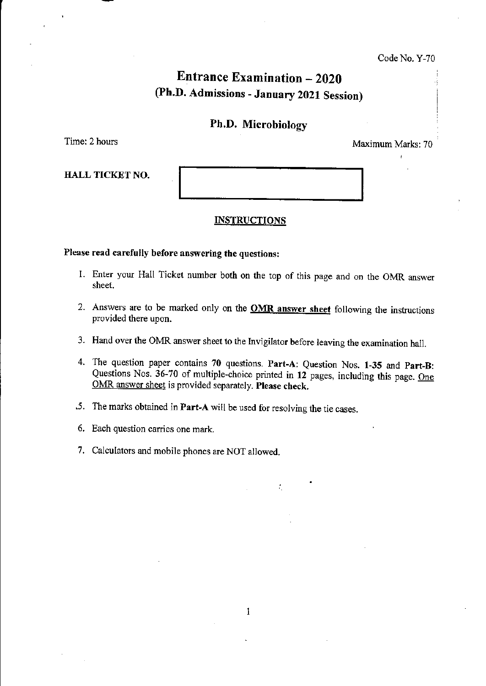Code No. Y-70

# Entrance Examination - 2020 (Ph.D. Admissions - January 2021 Session)

### Ph.D. Microbiology

Time: 2 hours Maximum Marks: 70

HALL TICKET NO.

#### **INSTRUCTIONS**

#### Please read carefully before answering the questions:

- 1. Enter your Hall Ticket number both on the top of this page and on the OMR answer sheet.
- 2. Answers are to be marked only on the **OMR answer sheet** following the instructions provided there upon.
- 3. Hand over the OMR answer sheet to the Invigilator before leaving the examination hall.
- 4. The question paper contains 70 questions. Part-A: Question Nos. 1-35 and Part-B: Questions Nos. 36-70 of multiple-choice printed in 12 pages, including this page. One OMR answer sheet is provided separately. Please check.

÷.

- .5. The marks obtained in Part-A will be used for resolving the tie cases.
- 6. Each question carries one mark.
- 7. Calculators and mobile phones are NOT allowed.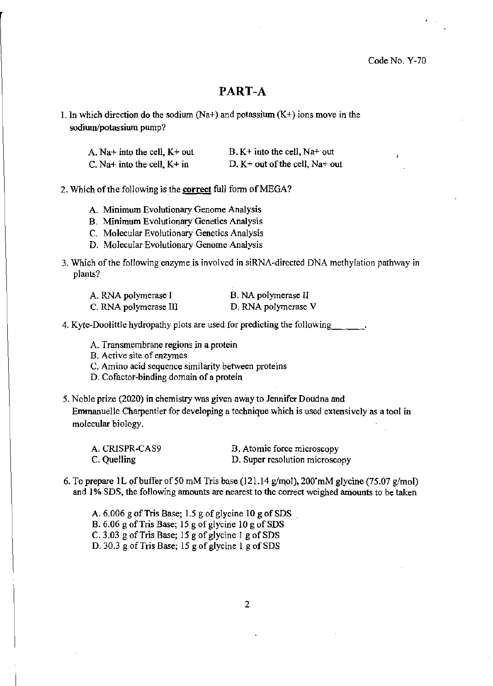Code No. Y-70

## PART-A

1. In which direction do the sodium  $(Na+)$  and potassium  $(K+)$  ions move in the sodium/potassium pump?

| A. Na+ into the cell, $K+$ out | $B$ . K+ into the cell, Na+ out   |
|--------------------------------|-----------------------------------|
| C. Na+ into the cell, $K+$ in  | D. $K$ + out of the cell, Na+ out |

#### 2. Which of the following is the correct full form of MEGA?

- A. Minimum Evolutionary Genome Analysis
- B. Minimum Evolutionary Genetics Analysis
- C. Molecular Evolutionary Genetics Analysis
- D. Molecular Evolutionary Genome Analysis
- 3. Which of the following enzyme is involved in siRNA~directed DNA methylation pathway in plants?

| A. RNA polymerase I   | B. NA polymerase II |
|-----------------------|---------------------|
| C. RNA polymerase III | D. RNA polymerase V |

- 4. Kyte-Doolittle hydropathy plots are used for predicting the following  $\qquad \qquad$ .
	- A. Transmembrane regions in a protein
	- B. Active site of enzymes
	- C. Amino acid sequence similarity between proteins
	- D. Cofactor-binding domain of a protein

5. Noble prize (2020) in chemistry was given away to Jennifer Doudna and

Emmanuelle Charpentier for developing a technique which is used extensively as a tool in molecular biology.

| A. CRISPR-CAS9 | B. Atomic force microscopy     |
|----------------|--------------------------------|
| C. Quelling    | D. Super resolution microscopy |

6. To prepare 1L of buffer of 50 mM Tris base (121.14 g/mol), 200<sup> $\text{mM}$ </sup> glycine (75.07 g/mol) and 1% SDS, the following amounts are nearest to the correct weighed amounts to be taken

A.  $6.006$  g of Tris Base; 1.5 g of glycine 10 g of SDS B. 6.06 g of Tris Base; 15 g of glycine 10 g of SDS C. 3.03 g of Tris Base; 15 g of glycine 1 g of SDS D. 30.3 g of Tris Base; 15 g of glycine 1 g of SDS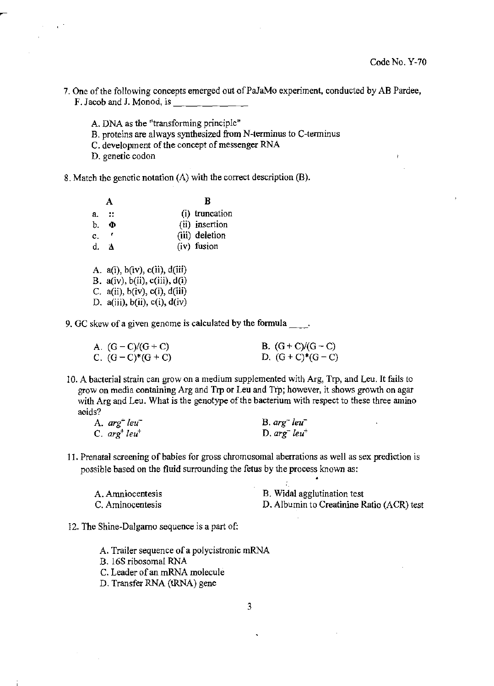- 7. One of the following concepts emerged out of PaJaMo experiment, conducted by AB Pardee, F. Jacob and J. Monod, is \_\_\_\_\_\_\_\_\_\_
	- A. DNA as the "transforming principle"
	- B. proteins are always synthesized from N-terminus to C-terminus
	- C. development of the concept of messenger RNA
	- D. genetic codon
- 8. Match the genetic notation (A) with the correct description (B).

|                |                                          | в              |
|----------------|------------------------------------------|----------------|
| a.             | -99                                      | (i) truncation |
| b.             | Ф                                        | (ii) insertion |
| $\mathbf{c}_+$ | $\mathcal{L}$                            | (iii) deletion |
| d.             | - 21                                     | (iv) fusion    |
|                | A. $a(i)$ , $b(iv)$ , $c(ii)$ , $d(iii)$ |                |
|                | B. $a(iv)$ , $b(ii)$ , $c(iii)$ , $d(i)$ |                |
|                | C. $a(ii)$ , $b(iv)$ , $c(i)$ , $d(iii)$ |                |
|                | D. a(iii), $b(ii)$ , c(i), $d(iv)$       |                |

9. GC skew of a given genome is calculated by the formula  $\qquad$ .

| A. $(G - C)/(G + C)$ | B. $(G+C)/(G-C)$ |
|----------------------|------------------|
| C. $(G - C)*(G + C)$ | D. $(G+C)*(G-C)$ |

10. A bacterial strain can grow on a medium supplemented with Arg, Trp, and Leu. It fails to grow on media containing Arg and Trp or Leu and Tfp; however, it shows growth on agar with Arg and Leu. What is the genotype of the bacterium with respect to these three amino aeids?

| A. $arg^+$ leu <sup>-</sup> | $B. arg^- leu^-$            |
|-----------------------------|-----------------------------|
| $C. arg+ leu+$              | D. $arg^-$ leu <sup>+</sup> |

11. Prenatal screening of babies for gross chromosomal aberrations as well as sex prediction is possible based on the fluid surrounding the fetus by the process known as:

| A. Amniocentesis | B. Widal agglutination test               |
|------------------|-------------------------------------------|
| C. Aminocentesis | D. Albumin to Creatinine Ratio (ACR) test |

- 12. The Shine-Dalgamo sequence is a part of:
	- A. Trailer sequence of a polycistronic mRNA
	- B. 16S ribosomal RNA
	- C. Leader of an mRNA molecule
	- D. Transfer RNA (tRNA) gene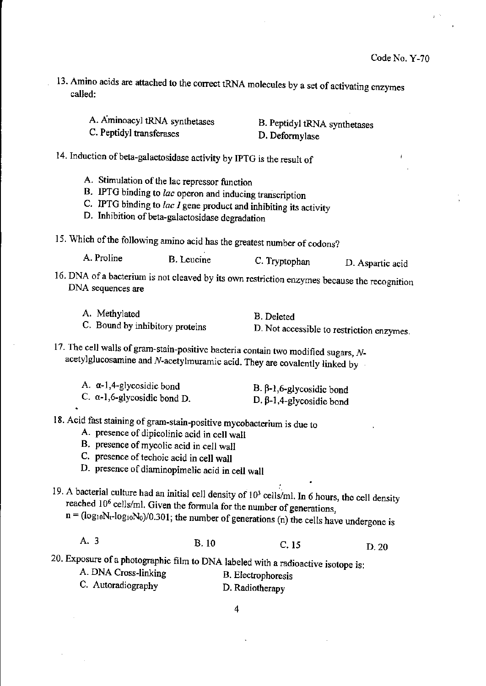- 13. Amino acids are attached to the correct tRNA molecules by a set of activating enzymes called:
	- A. Aminoacyl tRNA synthetases B. Peptidyl tRNA synthetases
	- C. Peptidyl transferases

D. Deformylase

14. Induction of beta-galactosidase activity by IPTG is the result of

- A. Stimulation of the lac repressor function
- B. IPTG binding to *lac* operon and inducing transcription
- C. IPTG binding to *lac I* gene product and inhibiting its activity
- D. Inhibition of beta-galactosidase degradation
- 15. Which of the following amino acid has the greatest number of codons?

A. Proline B. Leucine C. Tryptophan D. Aspartic acid

- 16. DNA of a bacterium is not cleaved by its own restriction enzymes because the recognition DNA sequences are
	-

A. Methylated B. Deleted<br>C. Bound by inhibitory proteins B. Not acce

D. Not accessible to restriction enzymes.

17. The cell walls of gram-stain-positive bacteria contain two modified sugars,  $N$ acetylglucosamine and N-acetylmuramic acid. They are covalently linked by

| A. $\alpha$ -1,4-glycosidic bond    | B. $β$ -1,6-glycosidic bond     |
|-------------------------------------|---------------------------------|
| C. $\alpha$ -1,6-glycosidic bond D. | D. $\beta$ -1,4-glycosidic bond |

# 18. Acid fast staining of gram-stain-positive mycobacterium is due to

- A. presence of dipicolinic acid in cell wall
- B. presence of mycolic acid in cell wall
- C. presence of techoic acid in cell wall
- D. presence of diaminopimelic acid in cell wall

19. A bacterial culture had an initial cell density of  $10<sup>3</sup>$  cells/ml. In 6 hours, the cell density reached 106 cells/ml. Given the formula for the number of generations,

 $n = (log_{10}N_f - log_{10}N_0)/0.301$ ; the number of generations (n) the cells have undergone is

A. 3 B. 10 C. 15 D. 20

20. Exposure of a photographic film to DNA labeled with a radioactive isotope is:

- A. DNA Cross-linking B. Electrophoresis
- C. Autoradiography D. Radiotherapy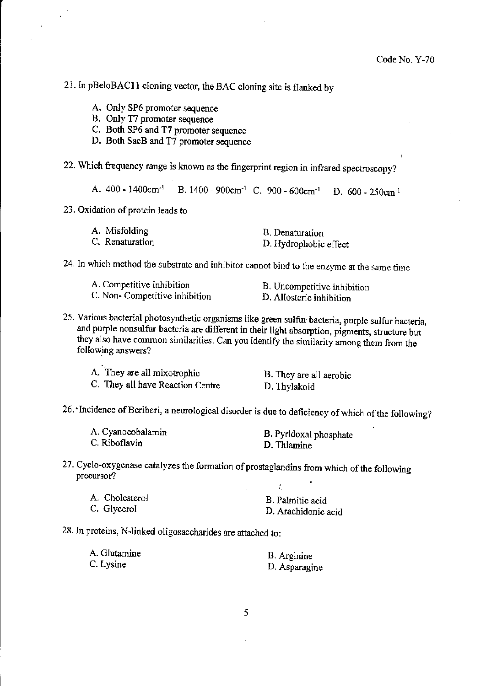21. In pBeloBACll cloning vector, the BAC cloning site is flanked by

- A. Only SP6 promoter sequence
- B. Only T7 promoter sequence
- C. Both SP6 and T7 promoter sequence
- D. Both SacB and T7 promoter sequence
- 22. Which frequency range is known as the fingerprint region in infrared spectroscopy?

A.  $400 - 1400$ cm<sup>-1</sup> B.  $1400 - 900$ cm<sup>-1</sup> C.  $900 - 600$ cm<sup>-1</sup> D. 600 - 250cm<sup>-1</sup>

23. Oxidation of protein leads to

| A. Misfolding   | B. Denaturation       |
|-----------------|-----------------------|
| C. Renaturation | D. Hydrophobic effect |

24. In which method the substrate and inhibitor cannot bind to the enzyme at the same time

| A. Competitive inhibition      | B. Uncompetitive inhibition |
|--------------------------------|-----------------------------|
| C. Non- Competitive inhibition | D. Allosteric inhibition    |

25. Varions bacterial photosynthetic organisms like green sulfur bacteria, purple sulfur bacteria, and purple nonsulfur bacteria are different in their light absorption, pigments, structure but they also have common similarities. Can you identify the similarity among them from the following answers?

| A. They are all mixotrophic      | B. They are all aerobic |
|----------------------------------|-------------------------|
| C. They all have Reaction Centre | D. Thylakoid            |

26. ~ Incidence of Beriberi, a neurological disorder is due to deficiency of which of the following?

| A. Cyanocobalamin | B. Pyridoxal phosphate |
|-------------------|------------------------|
| C. Riboflavin     | D. Thiamine            |

27. Cyclo-oxygenase catalyzes the formation of prostaglandins from which of the foIlowing precursor?

| A. Cholesterol | B. Palmitic acid    |
|----------------|---------------------|
| C. Glycerol    | D. Arachidonic acid |

28. In proteins, N-linked oligosaccharides are attached to:

| A. Glutamine | B. Arginine   |
|--------------|---------------|
| C. Lysine    | D. Asparagine |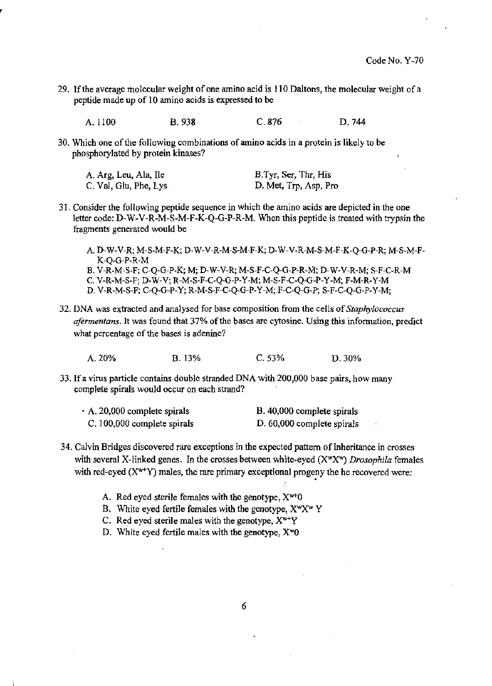29. If the average molecular weight of one amino acid is 110 Daltons, the molecular weight of a peptide made up of 10 amino acids is expressed to be

A.1100 B. 938 C.876 D.744

30. Which one of the following combinations of amino acids in a protein is likely to be phosphoryJated by protein kinases?

| A. Arg, Leu, Ala, Ile | B.Tyr, Ser, Thr, His  |
|-----------------------|-----------------------|
| C. Val, Glu, Phe, Lys | D. Met, Trp, Asp, Pro |

- 31. Consider the following peptide sequence in which the amino acids are depicted in the one letter code: D-W-V-R-M-S-M-F-K-Q-G-P-R-M. When this peptide is treated with trypsin the fragments generated would be
	- A. D-W-V-R; M-S-M-F-K; D-W-V-R-M-S-M-F-K; D-W-V-R-M-S-M-F-K-Q-G-P-R; M-S-M-F-K-Q-G-P-R-M B. V-R-M-S-F; C-Q-G-P-K; M; D-W-V-R; M-S-F-C-Q-G-P-R-IiI; D-W-V-R-M; S-F-C-R-M C. V-R-M-S-F; D-W-V; R-M-S-F-C-Q-G-P-Y-M; M-S-F-C-Q-G-P-Y-M; F-M-R-Y-M
	- D. V-R-M-S-F; C-Q-G-P-Y; R-M-S-F-C-Q-G-P-Y-M; F-C-Q-G-P; S-F-C-Q-G-P-Y-M;
- 32. DNA was extracted and analysed for base composition from the cells of *Staphylococcus afermentans*. It was found that 37% of the bases are cytosine. Using this information, predict what percentage of the bases is adenine?

A. 20% B.13% C.53% D.30%

33. If a virus particle contains double stranded DNA with 200,000 base pairs, how many complete spirals would occur on each strand?

| A. 20,000 complete spirals  | B. 40,000 complete spirals |
|-----------------------------|----------------------------|
| C. 100,000 complete spirals | D. 60,000 complete spirals |

- 34. Calvin Bridges discovered rare exceptions in the expected pattern of inheritance in crosses with several X-linked genes. In the crosses between white-eyed (X<sup>w</sup>X<sup>w</sup>) Drosophila females with red-eyed  $(X^{w+}Y)$  males, the rare primary exceptional progeny the he recovered were:
	- A. Red eyed sterile females with the genotype,  $X^{w+}0$
	- B. White eyed fertile females with the genotype,  $X^wX^w$  Y
	- C. Red eyed sterile males with the genotype,  $X^{w+}Y$
	- D. White eyed fertile males with the genotype,  $X^{\mathsf{w}}0$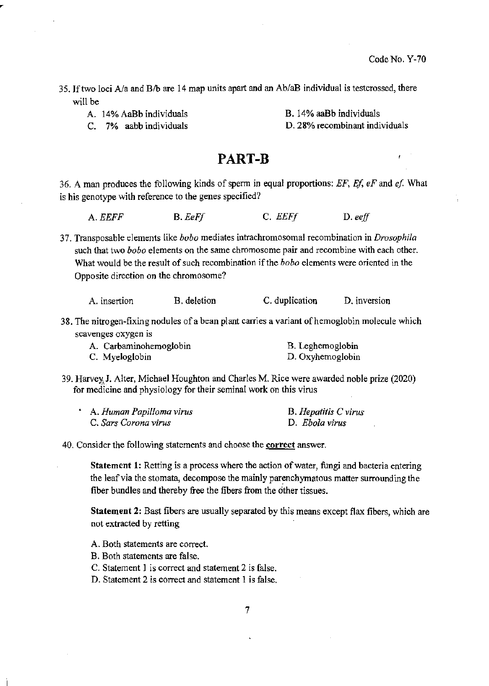- 35. If two loci  $A/a$  and  $B/b$  are 14 map units apart and an  $Ab/aB$  individual is testcrossed, there will be
	- A. 14% AaBb individuals B. 14% aaBb individuals
		-

C. 7% aabb individuals D. 28% recombinant individuals

## PART-B

36. A man produces the following kinds of spenn in equal proportions: *EF, Ef, eF* and *ef* What is his genotype with reference to the genes specified?

*A.EEFF B.EeFJ* C. *EEFJ* D. *eeJ!* 

37. Transposable elements like *hobo* mediates intrachromosomal recombination in *Drosophila*  such that two *hobo* elements on the same chromosome pair and recombine with each other. What would be the result of such recombination if the *hobo* elements were oriented in the Opposite direction on the chromosome?

| A. insertion | B. deletion | C. duplication | D. inversion |
|--------------|-------------|----------------|--------------|
|--------------|-------------|----------------|--------------|

38. The nitrogen-fixing nodules of a bean plant carries a variant of hemoglobin molecule which scavenges oxygen is

| A. Carbaminohemoglobin | B. Leghemoglobin |
|------------------------|------------------|
| C. Myeloglobin         | D. Oxyhemoglobin |

39. Harvey, J. Alter, Michael Houghton and Charles M. Rice were awarded noble prize (2020) for medicine and physiology for their seminal work on this virus

| A. Human Papilloma virus | B. Hepatitis C virus |
|--------------------------|----------------------|
| C. Sars Corona virus     | D. Ebola virus       |

40. Consider the following statements and choose the correct answer.

Statement 1: Retting is a process where the action of water, fungi and bacteria entering the leaf via the stomata, decompose the mainly parenchymatous matter surrounding the fiber bundles and thereby free the fibers from the other tissues.

Statement 2: Bast fibers are usually separated by this means except flax fibers, which are not extracted by retting

- A. Both statements are correct.
- B. Both statements are false.
- C. Statement 1 is correct and statement 2 is false.
- D. Statement 2 is correct and statement 1 is false.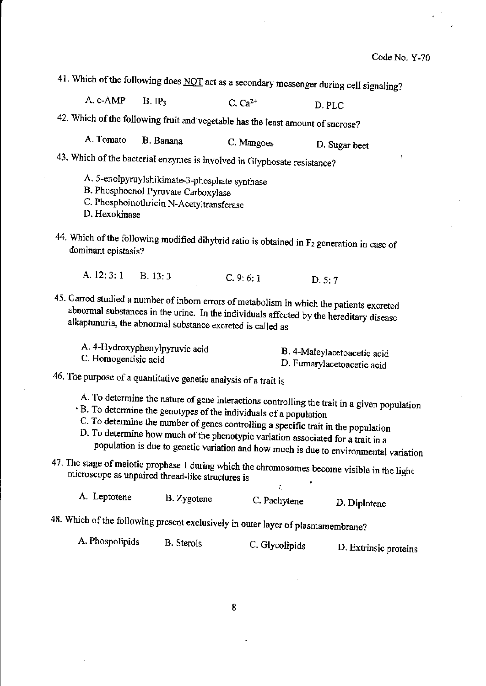41. Which of the following does NOT act as a secondary messenger during cell signaling?

A. c-AMP B. IP<sub>3</sub> C. Ca<sup>2+</sup> D. PLC

42. Which of the following fruit and vegetable has the least amount of sucrose?

A. Tomato B.Banana C.Mangoes D. Sugar beet

- 43. Which of the bacterial enzymes is involved in Glyphosate resistance?
	- A. 5-enolpyruylshikimate-3-phosphate synthase
	- B. PhosphoenoJ Pyruvate Carboxylase
	- C. Phosphoinothricin N-Acetyltransferase
	- D. Hexokinase
- 44. Which of the following modified dihybrid ratio is obtained in  $F_2$  generation in case of dominant epistasis?
	- A. 12: 3: 1 B. 13: 3 C. 9: 6: 1 D. 5: 7
- 45. Garrod studied a number of inborn errors of metabolism in which the patients excreted abnormal substances in the urine. In the individuals affected by the hereditary disease alkaptunuria, the abnormal substance excreted is called as

| A. 4-Hydroxyphenylpyruvic acid | B. 4-Maleylacetoacetic acid |
|--------------------------------|-----------------------------|
| C. Homogentisic acid           | D. Fumarylacetoacetic acid  |

46. The purpose of a quantitative genetic analysis of a trait is

A. To determine the nature of gene interactions controlling the trait in a given population

- . B. To determine the genotypes of the individuals of a population
- C. To determine the number of genes controlling a specific trait in the population D. To determine how much of the phenotypic variation associated for a trait in a population is due to genetic variation and how much is due to environmental variation
- 47. The stage of meiotic prophase 1 during which the chromosomes become visible in the light microscope as unpaired thread-like structures is

| A. Leptotene | B. Zygotene<br>C. Pachytene | D. Diplotene |
|--------------|-----------------------------|--------------|
|--------------|-----------------------------|--------------|

48. Which of the following present exclusively in outer layer of plasmamembrane?

A. Phospolipids B. Sterols C. Glycolipids D. Extrinsic proteins

÷.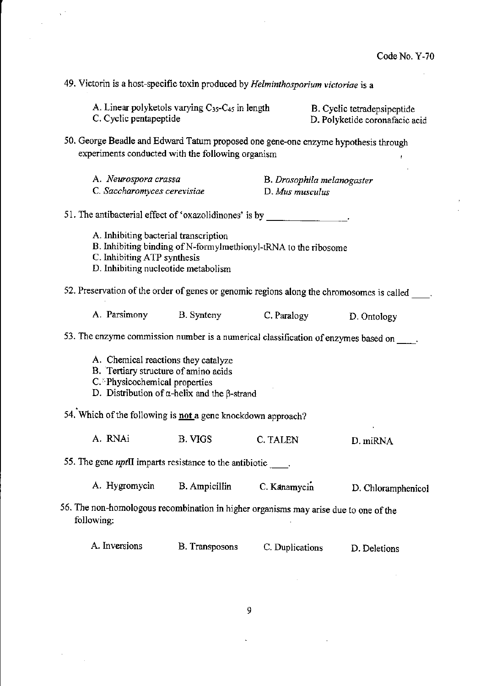$\sim$ 

49. Victorin is a host-specific toxin produced by *Helminthosporium victoriae* is a

 $\propto \frac{1}{2}$ 

 $\bar{\gamma}$ 

 $\frac{1}{2}$ 

 $\mathcal{L}$ 

| A. Linear polyketols varying $C_{35}$ - $C_{45}$ in length<br>C. Cyclic pentapeptide                                                                                                    |                       |                                               |  | B. Cyclic tetradepsipeptide<br>D. Polyketide coronafacic acid |
|-----------------------------------------------------------------------------------------------------------------------------------------------------------------------------------------|-----------------------|-----------------------------------------------|--|---------------------------------------------------------------|
| 50. George Beadle and Edward Tatum proposed one gene-one enzyme hypothesis through<br>experiments conducted with the following organism                                                 |                       |                                               |  |                                                               |
| A. Neurospora crassa<br>C. Saccharomyces cerevisiae                                                                                                                                     |                       | B. Drosophila melanogaster<br>D. Mus musculus |  |                                                               |
| 51. The antibacterial effect of 'oxazolidinones' is by _________________________                                                                                                        |                       |                                               |  |                                                               |
| A. Inhibiting bacterial transcription<br>B. Inhibiting binding of N-formylmethionyl-tRNA to the ribosome<br>C. Inhibiting ATP synthesis<br>D. Inhibiting nucleotide metabolism          |                       |                                               |  |                                                               |
| 52. Preservation of the order of genes or genomic regions along the chromosomes is called                                                                                               |                       |                                               |  |                                                               |
| A. Parsimony                                                                                                                                                                            | B. Synteny            | C. Paralogy                                   |  | D. Ontology                                                   |
| 53. The enzyme commission number is a numerical classification of enzymes based on _____.                                                                                               |                       |                                               |  |                                                               |
| A. Chemical reactions they catalyze<br>B. Tertiary structure of amino acids<br>C. <sup>5</sup> Physicochemical properties<br>D. Distribution of $\alpha$ -helix and the $\beta$ -strand |                       |                                               |  |                                                               |
| 54. Which of the following is not a gene knockdown approach?                                                                                                                            |                       |                                               |  |                                                               |
| A. RNAi                                                                                                                                                                                 | B. VIGS               | C. TALEN                                      |  | D. miRNA                                                      |
| 55. The gene <i>npt</i> II imparts resistance to the antibiotic ____.                                                                                                                   |                       |                                               |  |                                                               |
| A. Hygromycin                                                                                                                                                                           | <b>B.</b> Ampicillin  | C. Kanamycin                                  |  | D. Chloramphenicol                                            |
| 56. The non-homologous recombination in higher organisms may arise due to one of the<br>following:                                                                                      |                       |                                               |  |                                                               |
| A. Inversions                                                                                                                                                                           | <b>B.</b> Transposons | C. Duplications                               |  | D. Deletions                                                  |
|                                                                                                                                                                                         |                       |                                               |  |                                                               |

 $\zeta$ 

 $\bar{z}$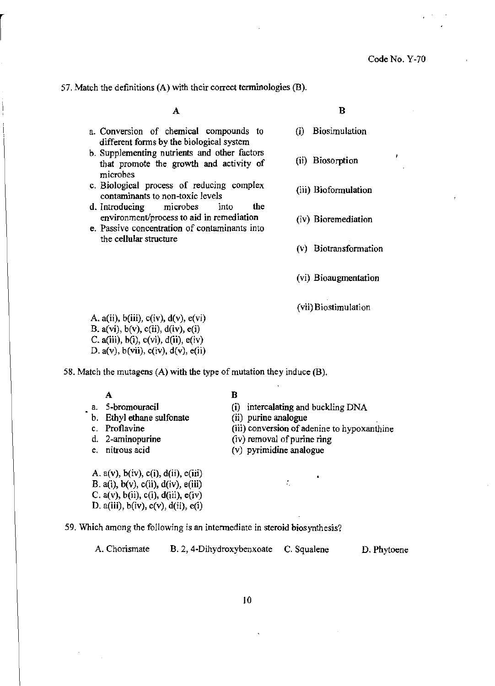**57. Match the definitions (A) with their correct tenninologies (B).** 

A

- **a. Conversion of chemical compounds to different forms by the biological system**
- **b. Supplementing nutrients and other factors that promote the growth and activity of microbes**
- **c. Biological process of reducing complex contaminants to non-toxic levels (iii) Biofonnulation**
- **d. Introducing microbes into the environment/process to aid in remediation (iv) Bioremediation**
- **e. Passive concentration of contaminants into the cellular structure**

B

- **(0 Biosimulation**
- **(ii) Biosorption**
- 
- 
- **(v) Biotransformation**
- **(vi) Bioaugmentation**
- **(vii) Biostimulation**

A.  $a(ii)$ ,  $b(iii)$ ,  $c(iv)$ ,  $d(v)$ ,  $e(vi)$ B.  $a(vi)$ ,  $b(v)$ ,  $c(ii)$ ,  $d(iv)$ ,  $e(i)$ C.  $a(iii)$ ,  $b(i)$ ,  $c(vi)$ ,  $d(ii)$ ,  $e(iv)$ D.  $a(v)$ ,  $b(vii)$ ,  $c(iv)$ ,  $d(v)$ ,  $e(ii)$ 

58. Match the mutagens (A) with the type of mutation they induce (B).

A

**a. 5-bromouracil** 

**c. Proflavine d. 2-aminopurine e, nitrous acid** 

**b. Ethyl ethane sulfonate** 

B

- (i) intercalating and buckling DNA
- **(ii) purine analogue**
- **(iii) conversion of adenine to hypoxanthine**
- **(iv) removal** of purine **ring** 
	- (v) pyrimidine analogue

 $\zeta$ 

A.  $a(v)$ ,  $b(iv)$ ,  $c(i)$ ,  $d(ii)$ ,  $e(iii)$ B. a(i),  $b(v)$ , c(ii),  $d(iv)$ , e(iii) C.  $a(v)$ ,  $b(ii)$ ,  $c(i)$ ,  $d(iii)$ ,  $e(iv)$ D.  $a(iii)$ ,  $b(iv)$ ,  $c(v)$ ,  $d(ii)$ ,  $e(i)$ 

**59. Which among the following is an intermediate in steroid biosynthesis?** 

**A. Chorismate B. 2, 4-Dihydroxybenxoate C. Squalene** D. Phytoene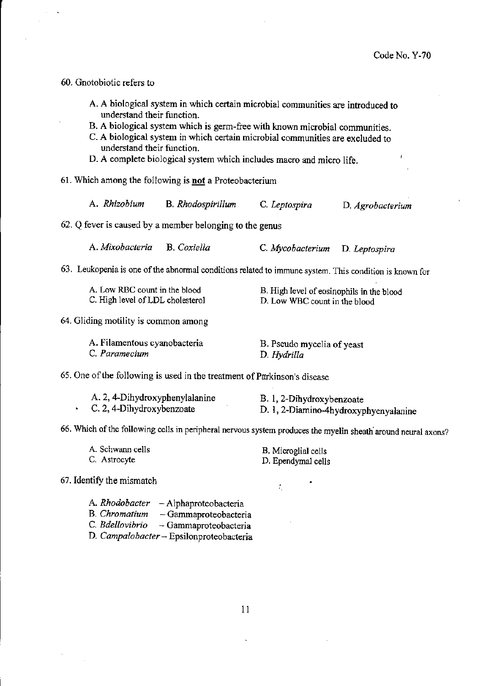60. Gnotobiotic refers to

- A. A biological system in which certain microbial communities are introduced to understand their function.
- B. A biological system which is germ-free with known microbial communities.
- C. A biological system in which certain microbial communities are excluded to understand their function.
- D. A complete biological system which includes macro and micro life.
- 61. Which among the following is **not** a Proteobacterium
	- A. *Rhizobium* B. *Rhodospirillum* C. *Leptospira* D. *Agrobacterium*
- 62. Q fever is caused by a member belonging to the genus

A. *Mixobacteria* B. *Coxiella* C. *Mycobacterium* D. *Leptospira* 

63. Leukopenia is one of the abnormal conditions related to immune system. This condition is known for

| A. Low RBC count in the blood    | B. High level of eosinophils in the blood |
|----------------------------------|-------------------------------------------|
| C. High level of LDL cholesterol | D. Low WBC count in the blood             |

#### 64. Gliding motility is common among

| A. Filamentous cyanobacteria | B. Pseudo mycelia of yeast |
|------------------------------|----------------------------|
| C. Paramecium                | D. Hydrilla                |

65. One of the following is used in the treatment of Parkinson's disease

| A. 2, 4-Dihydroxyphenylalanine | B. 1, 2-Dihydroxybenzoate             |
|--------------------------------|---------------------------------------|
| C. 2, 4-Dihydroxybenzoate      | D. 1, 2-Diamino-4hydroxyphyenyalanine |

66. Which of the following cells in peripheral nervous system produces the myelin sheath' around neural axons?

| A. Schwann cells |
|------------------|
| C. Astrocyte     |

B. Microglial cells D. Ependymal cells

÷.

67. Identify the mismatch

A. *Rhodobacter* - Alphaproteobacteria B. *Chromatium* - Gammaproteobacteria C. *Bdellovibrio* - Gammaproteobacteria D. *Campalobacter-* Epsilonproteobacteria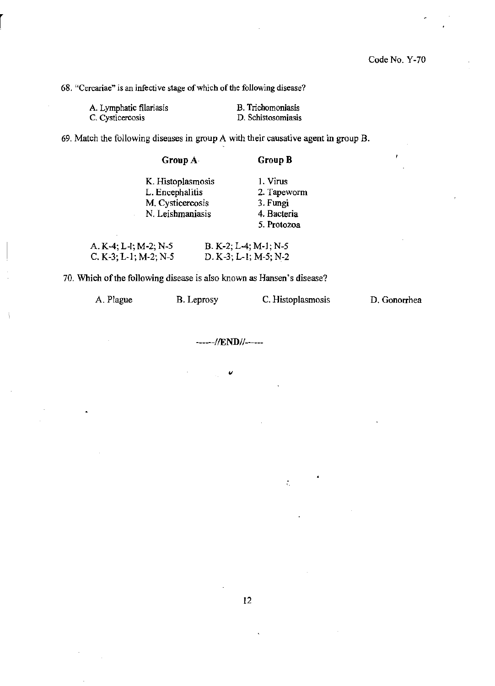$\mathbf{r}$ 

**68. "Cercariae" is an infective stage** of which of the **following disease?** 

| A. Lymphatic filariasis | B. Trichomoniasis  |
|-------------------------|--------------------|
| C. Cysticercosis        | D. Schistosomiasis |

**69. Match the following diseases in group A with their causative agent in group B.** 

| Group $A_1$       | Group B     |
|-------------------|-------------|
| K. Histoplasmosis | 1. Virus    |
| L. Encephalitis   | 2. Tapeworm |
| M. Cysticercosis  | 3. Fungi    |
| N. Leishmaniasis  | 4. Bacteria |
|                   | 5. Protozoa |
|                   |             |

| A. K-4; L-1; M-2; N-5 | $B. K-2; L-4; M-1; N-5$ |  |
|-----------------------|-------------------------|--|
| C. K-3; L-1; M-2; N-5 | $D. K-3; L-1; M-5; N-2$ |  |

**70. Which** of the **following disease is also known as Hansen's disease?** 

| C. Histoplasmosis<br>A. Plague<br>B. Leprosy | D. Gonorrhea |
|----------------------------------------------|--------------|
|----------------------------------------------|--------------|

------//END//------

 $\ddot{\phantom{a}}$ 

 $\zeta_i$